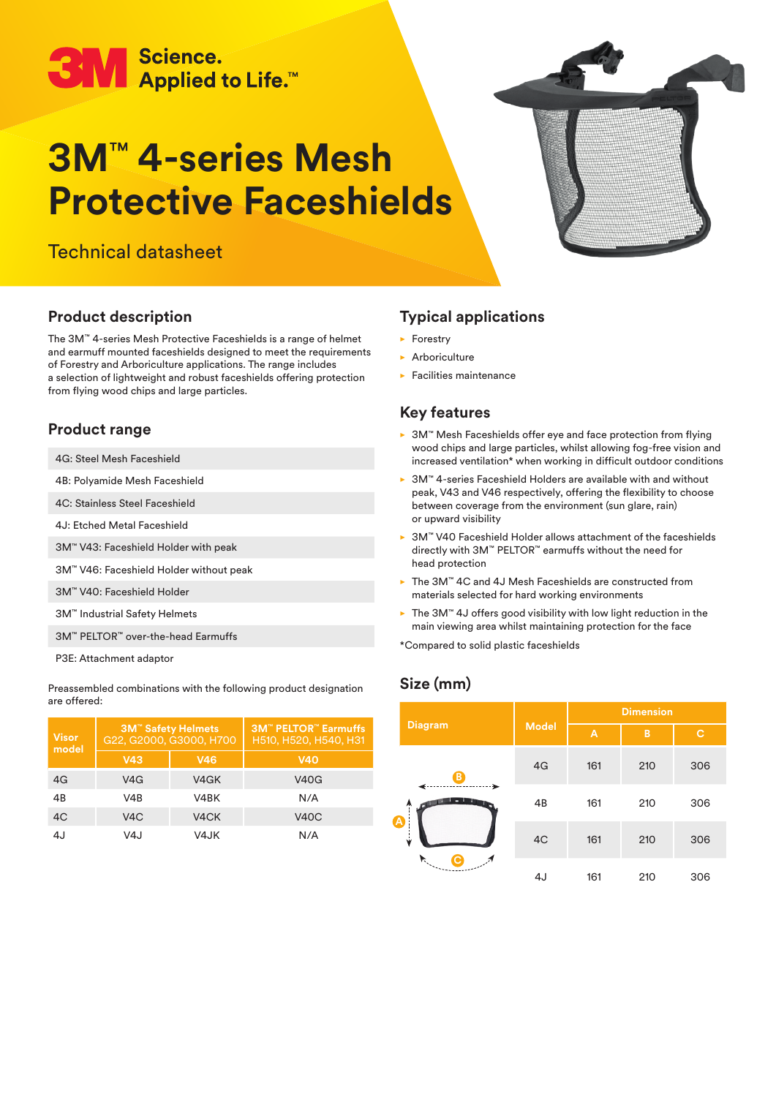# ● Science.<br>● Applied to Life.™

## **3M**™ **4-series Mesh Protective Faceshields**

Technical datasheet



## **Product description**

The 3M™ 4-series Mesh Protective Faceshields is a range of helmet and earmuff mounted faceshields designed to meet the requirements of Forestry and Arboriculture applications. The range includes a selection of lightweight and robust faceshields offering protection from flying wood chips and large particles.

## **Product range**

- 4G: Steel Mesh Faceshield
- 4B: Polyamide Mesh Faceshield
- 4C: Stainless Steel Faceshield
- 4J: Etched Metal Faceshield
- 3M™ V43: Faceshield Holder with peak
- 3M™ V46: Faceshield Holder without peak
- 3M™ V40: Faceshield Holder
- 3M™ Industrial Safety Helmets
- 3M™ PELTOR™ over-the-head Earmuffs
- P3E: Attachment adaptor

Preassembled combinations with the following product designation are offered:

| <b>Visor</b><br>model | <b>3M<sup>™</sup> Safety Helmets</b><br>G22, G2000, G3000, H700 |                   | <b>3M<sup>™</sup> PELTOR<sup>™</sup> Earmuffs</b><br>H510, H520, H540, H31 |
|-----------------------|-----------------------------------------------------------------|-------------------|----------------------------------------------------------------------------|
|                       | V43                                                             | <b>V46</b>        | <b>V40</b>                                                                 |
| 4G                    | V4G                                                             | V4GK              | <b>V40G</b>                                                                |
| 4 <sub>R</sub>        | V4R                                                             | V4BK              | N/A                                                                        |
| 4C                    | V <sub>4</sub> C                                                | V <sub>4</sub> CK | <b>V40C</b>                                                                |
| 4.I                   | V4J                                                             | V4JK              | N/A                                                                        |

## **Typical applications**

- $\blacktriangleright$  Forestry
- $\blacktriangleright$  Arboriculture
- $\blacktriangleright$  Facilities maintenance

## **Key features**

- ▶ 3M™ Mesh Faceshields offer eye and face protection from flying wood chips and large particles, whilst allowing fog-free vision and increased ventilation\* when working in difficult outdoor conditions
- ► 3M™ 4-series Faceshield Holders are available with and without peak, V43 and V46 respectively, offering the flexibility to choose between coverage from the environment (sun glare, rain) or upward visibility
- 3M™ V40 Faceshield Holder allows attachment of the faceshields directly with 3M™ PELTOR™ earmuffs without the need for head protection
- ► The 3M™ 4C and 4J Mesh Faceshields are constructed from materials selected for hard working environments
- ► The 3M™ 4J offers good visibility with low light reduction in the main viewing area whilst maintaining protection for the face

\*Compared to solid plastic faceshields

## **Size (mm)**

|                            | <b>Model</b> | <b>Dimension</b> |     |     |
|----------------------------|--------------|------------------|-----|-----|
| <b>Diagram</b>             |              | A                | B   | c   |
| B                          | 4G           | 161              | 210 | 306 |
| ➤<br>$\ddagger$            | 4B           | 161              | 210 | 306 |
| $\blacktriangleright$<br>ý | 4C           | 161              | 210 | 306 |
| $\mathcal{F}^{(i)}$        | 4J           | 161              | 210 | 306 |